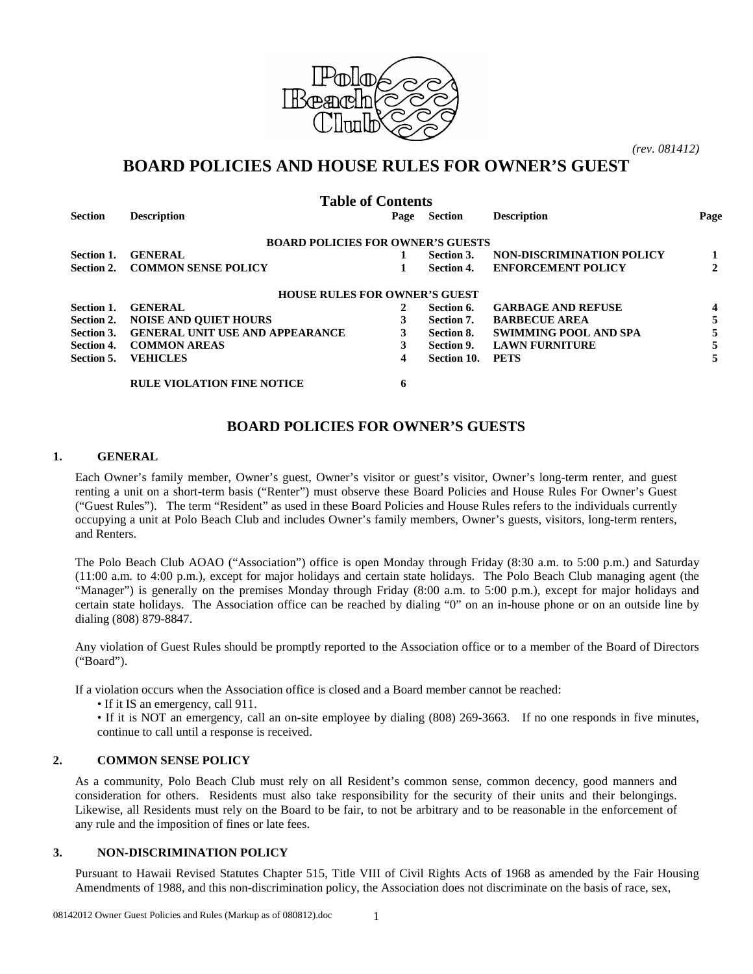

*(rev. 081412)*

# **BOARD POLICIES AND HOUSE RULES FOR OWNER'S GUEST**

| <b>Table of Contents</b> |                                          |      |             |                              |              |
|--------------------------|------------------------------------------|------|-------------|------------------------------|--------------|
| <b>Section</b>           | <b>Description</b>                       | Page | Section     | <b>Description</b>           | Page         |
|                          | <b>BOARD POLICIES FOR OWNER'S GUESTS</b> |      |             |                              |              |
| Section 1.               | <b>GENERAL</b>                           |      | Section 3.  | NON-DISCRIMINATION POLICY    | 1            |
| Section 2.               | <b>COMMON SENSE POLICY</b>               |      | Section 4.  | <b>ENFORCEMENT POLICY</b>    | $\mathbf{2}$ |
|                          | <b>HOUSE RULES FOR OWNER'S GUEST</b>     |      |             |                              |              |
| Section 1.               | <b>GENERAL</b>                           | 2    | Section 6.  | <b>GARBAGE AND REFUSE</b>    | 4            |
| Section 2.               | <b>NOISE AND QUIET HOURS</b>             |      | Section 7.  | <b>BARBECUE AREA</b>         | 5            |
| Section 3.               | <b>GENERAL UNIT USE AND APPEARANCE</b>   | 3    | Section 8.  | <b>SWIMMING POOL AND SPA</b> | 5            |
| Section 4.               | <b>COMMON AREAS</b>                      | 3    | Section 9.  | <b>LAWN FURNITURE</b>        | 5            |
| Section 5.               | <b>VEHICLES</b>                          | 4    | Section 10. | <b>PETS</b>                  |              |
|                          | <b>RULE VIOLATION FINE NOTICE</b>        | 6    |             |                              |              |

## **BOARD POLICIES FOR OWNER'S GUESTS**

#### **1. GENERAL**

Each Owner's family member, Owner's guest, Owner's visitor or guest's visitor, Owner's long-term renter, and guest renting a unit on a short-term basis ("Renter") must observe these Board Policies and House Rules For Owner's Guest ("Guest Rules"). The term "Resident" as used in these Board Policies and House Rules refers to the individuals currently occupying a unit at Polo Beach Club and includes Owner's family members, Owner's guests, visitors, long-term renters, and Renters.

The Polo Beach Club AOAO ("Association") office is open Monday through Friday (8:30 a.m. to 5:00 p.m.) and Saturday (11:00 a.m. to 4:00 p.m.), except for major holidays and certain state holidays. The Polo Beach Club managing agent (the "Manager") is generally on the premises Monday through Friday (8:00 a.m. to 5:00 p.m.), except for major holidays and certain state holidays. The Association office can be reached by dialing "0" on an in-house phone or on an outside line by dialing (808) 879-8847.

Any violation of Guest Rules should be promptly reported to the Association office or to a member of the Board of Directors ("Board").

If a violation occurs when the Association office is closed and a Board member cannot be reached:

• If it IS an emergency, call 911.

• If it is NOT an emergency, call an on-site employee by dialing (808) 269-3663. If no one responds in five minutes, continue to call until a response is received.

#### **2. COMMON SENSE POLICY**

As a community, Polo Beach Club must rely on all Resident's common sense, common decency, good manners and consideration for others. Residents must also take responsibility for the security of their units and their belongings. Likewise, all Residents must rely on the Board to be fair, to not be arbitrary and to be reasonable in the enforcement of any rule and the imposition of fines or late fees.

#### **3. NON-DISCRIMINATION POLICY**

Pursuant to Hawaii Revised Statutes Chapter 515, Title VIII of Civil Rights Acts of 1968 as amended by the Fair Housing Amendments of 1988, and this non-discrimination policy, the Association does not discriminate on the basis of race, sex,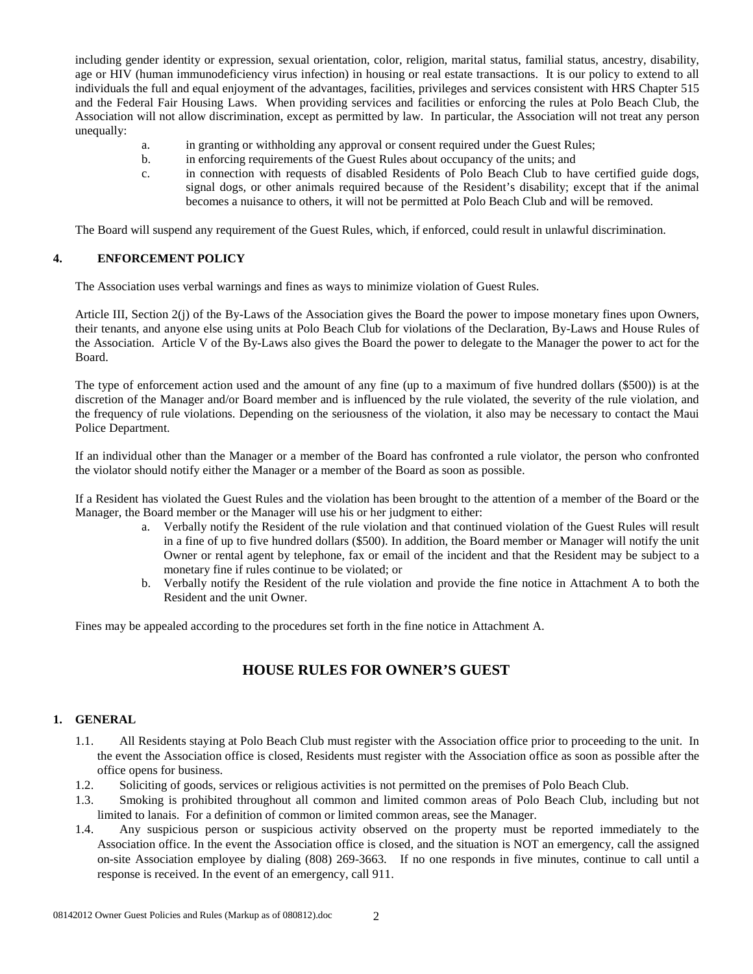including gender identity or expression, sexual orientation, color, religion, marital status, familial status, ancestry, disability, age or HIV (human immunodeficiency virus infection) in housing or real estate transactions. It is our policy to extend to all individuals the full and equal enjoyment of the advantages, facilities, privileges and services consistent with HRS Chapter 515 and the Federal Fair Housing Laws. When providing services and facilities or enforcing the rules at Polo Beach Club, the Association will not allow discrimination, except as permitted by law. In particular, the Association will not treat any person unequally:

- a. in granting or withholding any approval or consent required under the Guest Rules;
- b. in enforcing requirements of the Guest Rules about occupancy of the units; and
- c. in connection with requests of disabled Residents of Polo Beach Club to have certified guide dogs, signal dogs, or other animals required because of the Resident's disability; except that if the animal becomes a nuisance to others, it will not be permitted at Polo Beach Club and will be removed.

The Board will suspend any requirement of the Guest Rules, which, if enforced, could result in unlawful discrimination.

#### **4. ENFORCEMENT POLICY**

The Association uses verbal warnings and fines as ways to minimize violation of Guest Rules.

Article III, Section 2(j) of the By-Laws of the Association gives the Board the power to impose monetary fines upon Owners, their tenants, and anyone else using units at Polo Beach Club for violations of the Declaration, By-Laws and House Rules of the Association. Article V of the By-Laws also gives the Board the power to delegate to the Manager the power to act for the Board.

The type of enforcement action used and the amount of any fine (up to a maximum of five hundred dollars (\$500)) is at the discretion of the Manager and/or Board member and is influenced by the rule violated, the severity of the rule violation, and the frequency of rule violations. Depending on the seriousness of the violation, it also may be necessary to contact the Maui Police Department.

If an individual other than the Manager or a member of the Board has confronted a rule violator, the person who confronted the violator should notify either the Manager or a member of the Board as soon as possible.

If a Resident has violated the Guest Rules and the violation has been brought to the attention of a member of the Board or the Manager, the Board member or the Manager will use his or her judgment to either:

- a. Verbally notify the Resident of the rule violation and that continued violation of the Guest Rules will result in a fine of up to five hundred dollars (\$500). In addition, the Board member or Manager will notify the unit Owner or rental agent by telephone, fax or email of the incident and that the Resident may be subject to a monetary fine if rules continue to be violated; or
- b. Verbally notify the Resident of the rule violation and provide the fine notice in Attachment A to both the Resident and the unit Owner.

Fines may be appealed according to the procedures set forth in the fine notice in Attachment A.

## **HOUSE RULES FOR OWNER'S GUEST**

#### **1. GENERAL**

- 1.1. All Residents staying at Polo Beach Club must register with the Association office prior to proceeding to the unit. In the event the Association office is closed, Residents must register with the Association office as soon as possible after the office opens for business.
- 1.2. Soliciting of goods, services or religious activities is not permitted on the premises of Polo Beach Club.
- 1.3. Smoking is prohibited throughout all common and limited common areas of Polo Beach Club, including but not limited to lanais. For a definition of common or limited common areas, see the Manager.
- 1.4. Any suspicious person or suspicious activity observed on the property must be reported immediately to the Association office. In the event the Association office is closed, and the situation is NOT an emergency, call the assigned on-site Association employee by dialing (808) 269-3663. If no one responds in five minutes, continue to call until a response is received. In the event of an emergency, call 911.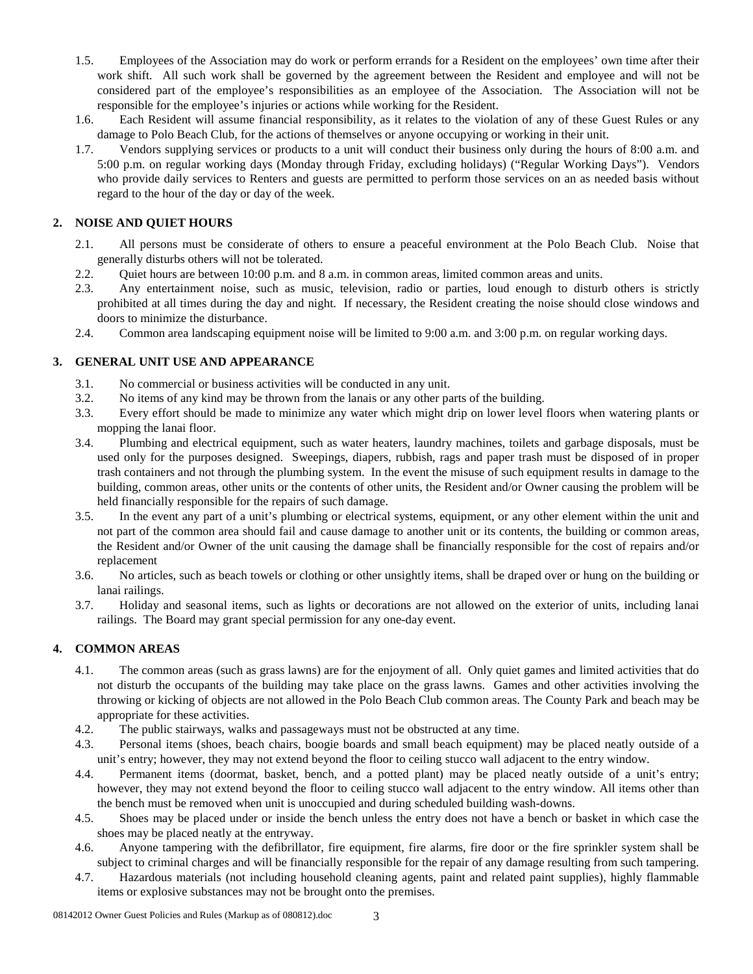- 1.5. Employees of the Association may do work or perform errands for a Resident on the employees' own time after their work shift. All such work shall be governed by the agreement between the Resident and employee and will not be considered part of the employee's responsibilities as an employee of the Association. The Association will not be responsible for the employee's injuries or actions while working for the Resident.
- 1.6. Each Resident will assume financial responsibility, as it relates to the violation of any of these Guest Rules or any damage to Polo Beach Club, for the actions of themselves or anyone occupying or working in their unit.
- 1.7. Vendors supplying services or products to a unit will conduct their business only during the hours of 8:00 a.m. and 5:00 p.m. on regular working days (Monday through Friday, excluding holidays) ("Regular Working Days"). Vendors who provide daily services to Renters and guests are permitted to perform those services on an as needed basis without regard to the hour of the day or day of the week.

### **2. NOISE AND QUIET HOURS**

- 2.1. All persons must be considerate of others to ensure a peaceful environment at the Polo Beach Club. Noise that generally disturbs others will not be tolerated.
- 2.2. Ouiet hours are between 10:00 p.m. and 8 a.m. in common areas, limited common areas and units.
- 2.3. Any entertainment noise, such as music, television, radio or parties, loud enough to disturb others is strictly prohibited at all times during the day and night. If necessary, the Resident creating the noise should close windows and doors to minimize the disturbance.
- 2.4. Common area landscaping equipment noise will be limited to 9:00 a.m. and 3:00 p.m. on regular working days.

#### **3. GENERAL UNIT USE AND APPEARANCE**

- 3.1. No commercial or business activities will be conducted in any unit.
- 3.2. No items of any kind may be thrown from the lanais or any other parts of the building.
- 3.3. Every effort should be made to minimize any water which might drip on lower level floors when watering plants or mopping the lanai floor.
- 3.4. Plumbing and electrical equipment, such as water heaters, laundry machines, toilets and garbage disposals, must be used only for the purposes designed. Sweepings, diapers, rubbish, rags and paper trash must be disposed of in proper trash containers and not through the plumbing system. In the event the misuse of such equipment results in damage to the building, common areas, other units or the contents of other units, the Resident and/or Owner causing the problem will be held financially responsible for the repairs of such damage.
- 3.5. In the event any part of a unit's plumbing or electrical systems, equipment, or any other element within the unit and not part of the common area should fail and cause damage to another unit or its contents, the building or common areas, the Resident and/or Owner of the unit causing the damage shall be financially responsible for the cost of repairs and/or replacement
- 3.6. No articles, such as beach towels or clothing or other unsightly items, shall be draped over or hung on the building or lanai railings.
- 3.7. Holiday and seasonal items, such as lights or decorations are not allowed on the exterior of units, including lanai railings. The Board may grant special permission for any one-day event.

## **4. COMMON AREAS**

- 4.1. The common areas (such as grass lawns) are for the enjoyment of all. Only quiet games and limited activities that do not disturb the occupants of the building may take place on the grass lawns. Games and other activities involving the throwing or kicking of objects are not allowed in the Polo Beach Club common areas. The County Park and beach may be appropriate for these activities.
- 4.2. The public stairways, walks and passageways must not be obstructed at any time.
- 4.3. Personal items (shoes, beach chairs, boogie boards and small beach equipment) may be placed neatly outside of a unit's entry; however, they may not extend beyond the floor to ceiling stucco wall adjacent to the entry window.
- 4.4. Permanent items (doormat, basket, bench, and a potted plant) may be placed neatly outside of a unit's entry; however, they may not extend beyond the floor to ceiling stucco wall adjacent to the entry window. All items other than the bench must be removed when unit is unoccupied and during scheduled building wash-downs.
- 4.5. Shoes may be placed under or inside the bench unless the entry does not have a bench or basket in which case the shoes may be placed neatly at the entryway.
- 4.6. Anyone tampering with the defibrillator, fire equipment, fire alarms, fire door or the fire sprinkler system shall be subject to criminal charges and will be financially responsible for the repair of any damage resulting from such tampering.
- 4.7. Hazardous materials (not including household cleaning agents, paint and related paint supplies), highly flammable items or explosive substances may not be brought onto the premises.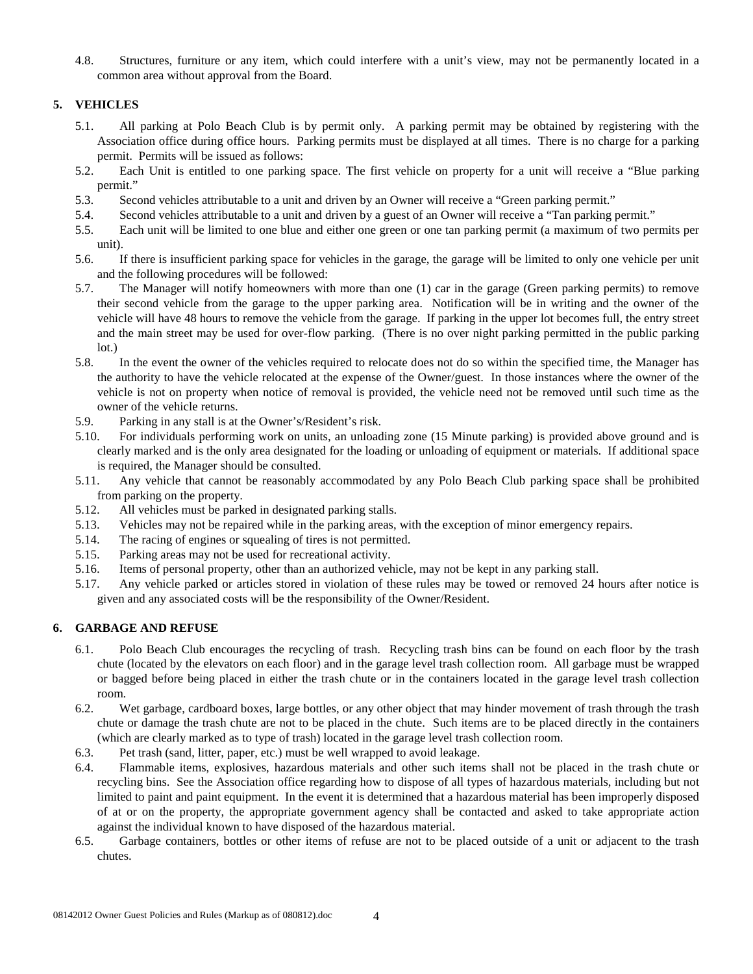4.8. Structures, furniture or any item, which could interfere with a unit's view, may not be permanently located in a common area without approval from the Board.

### **5. VEHICLES**

- 5.1. All parking at Polo Beach Club is by permit only. A parking permit may be obtained by registering with the Association office during office hours. Parking permits must be displayed at all times. There is no charge for a parking permit. Permits will be issued as follows:
- 5.2. Each Unit is entitled to one parking space. The first vehicle on property for a unit will receive a "Blue parking permit."
- 5.3. Second vehicles attributable to a unit and driven by an Owner will receive a "Green parking permit."
- 5.4. Second vehicles attributable to a unit and driven by a guest of an Owner will receive a "Tan parking permit."
- 5.5. Each unit will be limited to one blue and either one green or one tan parking permit (a maximum of two permits per unit).
- 5.6. If there is insufficient parking space for vehicles in the garage, the garage will be limited to only one vehicle per unit and the following procedures will be followed:
- 5.7. The Manager will notify homeowners with more than one (1) car in the garage (Green parking permits) to remove their second vehicle from the garage to the upper parking area. Notification will be in writing and the owner of the vehicle will have 48 hours to remove the vehicle from the garage. If parking in the upper lot becomes full, the entry street and the main street may be used for over-flow parking. (There is no over night parking permitted in the public parking lot.)
- 5.8. In the event the owner of the vehicles required to relocate does not do so within the specified time, the Manager has the authority to have the vehicle relocated at the expense of the Owner/guest. In those instances where the owner of the vehicle is not on property when notice of removal is provided, the vehicle need not be removed until such time as the owner of the vehicle returns.
- 5.9. Parking in any stall is at the Owner's/Resident's risk.
- 5.10. For individuals performing work on units, an unloading zone (15 Minute parking) is provided above ground and is clearly marked and is the only area designated for the loading or unloading of equipment or materials. If additional space is required, the Manager should be consulted.
- 5.11. Any vehicle that cannot be reasonably accommodated by any Polo Beach Club parking space shall be prohibited from parking on the property.
- 5.12. All vehicles must be parked in designated parking stalls.
- 5.13. Vehicles may not be repaired while in the parking areas, with the exception of minor emergency repairs.
- 5.14. The racing of engines or squealing of tires is not permitted.
- 5.15. Parking areas may not be used for recreational activity.
- 5.16. Items of personal property, other than an authorized vehicle, may not be kept in any parking stall.
- 5.17. Any vehicle parked or articles stored in violation of these rules may be towed or removed 24 hours after notice is given and any associated costs will be the responsibility of the Owner/Resident.

## **6. GARBAGE AND REFUSE**

- 6.1. Polo Beach Club encourages the recycling of trash. Recycling trash bins can be found on each floor by the trash chute (located by the elevators on each floor) and in the garage level trash collection room. All garbage must be wrapped or bagged before being placed in either the trash chute or in the containers located in the garage level trash collection room.
- 6.2. Wet garbage, cardboard boxes, large bottles, or any other object that may hinder movement of trash through the trash chute or damage the trash chute are not to be placed in the chute. Such items are to be placed directly in the containers (which are clearly marked as to type of trash) located in the garage level trash collection room.
- 6.3. Pet trash (sand, litter, paper, etc.) must be well wrapped to avoid leakage.
- 6.4. Flammable items, explosives, hazardous materials and other such items shall not be placed in the trash chute or recycling bins. See the Association office regarding how to dispose of all types of hazardous materials, including but not limited to paint and paint equipment. In the event it is determined that a hazardous material has been improperly disposed of at or on the property, the appropriate government agency shall be contacted and asked to take appropriate action against the individual known to have disposed of the hazardous material.
- 6.5. Garbage containers, bottles or other items of refuse are not to be placed outside of a unit or adjacent to the trash chutes.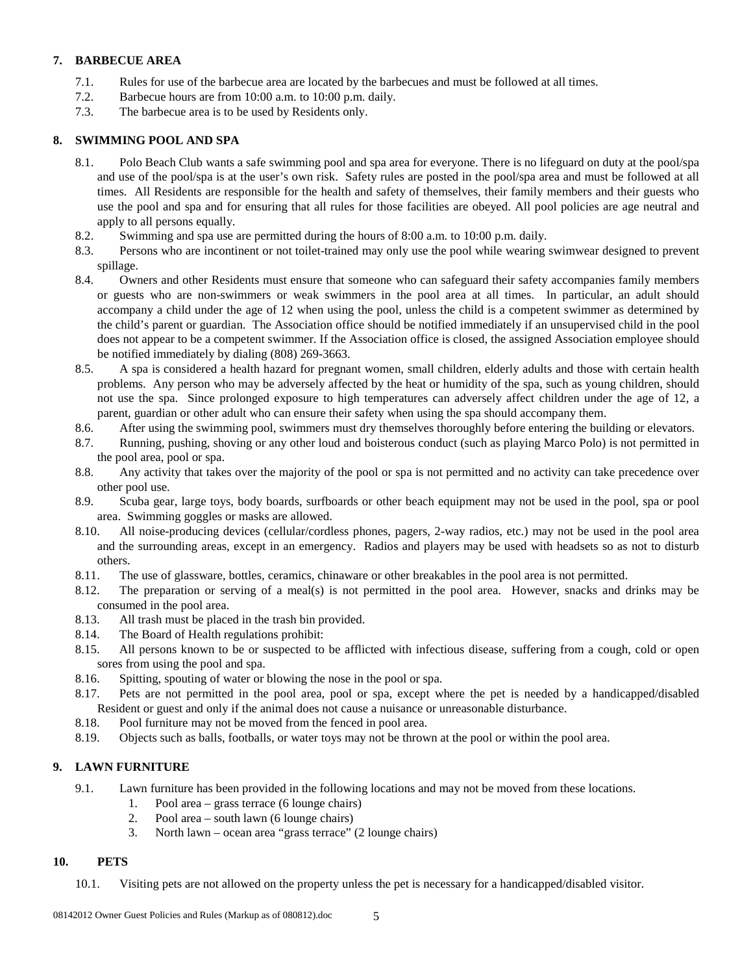### **7. BARBECUE AREA**

- 7.1. Rules for use of the barbecue area are located by the barbecues and must be followed at all times.
- 7.2. Barbecue hours are from 10:00 a.m. to 10:00 p.m. daily.
- 7.3. The barbecue area is to be used by Residents only.

#### **8. SWIMMING POOL AND SPA**

- 8.1. Polo Beach Club wants a safe swimming pool and spa area for everyone. There is no lifeguard on duty at the pool/spa and use of the pool/spa is at the user's own risk. Safety rules are posted in the pool/spa area and must be followed at all times. All Residents are responsible for the health and safety of themselves, their family members and their guests who use the pool and spa and for ensuring that all rules for those facilities are obeyed. All pool policies are age neutral and apply to all persons equally.
- 8.2. Swimming and spa use are permitted during the hours of 8:00 a.m. to 10:00 p.m. daily.
- 8.3. Persons who are incontinent or not toilet-trained may only use the pool while wearing swimwear designed to prevent spillage.
- 8.4. Owners and other Residents must ensure that someone who can safeguard their safety accompanies family members or guests who are non-swimmers or weak swimmers in the pool area at all times. In particular, an adult should accompany a child under the age of 12 when using the pool, unless the child is a competent swimmer as determined by the child's parent or guardian. The Association office should be notified immediately if an unsupervised child in the pool does not appear to be a competent swimmer. If the Association office is closed, the assigned Association employee should be notified immediately by dialing (808) 269-3663.
- 8.5. A spa is considered a health hazard for pregnant women, small children, elderly adults and those with certain health problems. Any person who may be adversely affected by the heat or humidity of the spa, such as young children, should not use the spa. Since prolonged exposure to high temperatures can adversely affect children under the age of 12, a parent, guardian or other adult who can ensure their safety when using the spa should accompany them.
- 8.6. After using the swimming pool, swimmers must dry themselves thoroughly before entering the building or elevators.
- 8.7. Running, pushing, shoving or any other loud and boisterous conduct (such as playing Marco Polo) is not permitted in the pool area, pool or spa.
- 8.8. Any activity that takes over the majority of the pool or spa is not permitted and no activity can take precedence over other pool use.
- 8.9. Scuba gear, large toys, body boards, surfboards or other beach equipment may not be used in the pool, spa or pool area. Swimming goggles or masks are allowed.
- 8.10. All noise-producing devices (cellular/cordless phones, pagers, 2-way radios, etc.) may not be used in the pool area and the surrounding areas, except in an emergency. Radios and players may be used with headsets so as not to disturb others.
- 8.11. The use of glassware, bottles, ceramics, chinaware or other breakables in the pool area is not permitted.
- 8.12. The preparation or serving of a meal(s) is not permitted in the pool area. However, snacks and drinks may be consumed in the pool area.
- 8.13. All trash must be placed in the trash bin provided.
- 8.14. The Board of Health regulations prohibit:
- 8.15. All persons known to be or suspected to be afflicted with infectious disease, suffering from a cough, cold or open sores from using the pool and spa.
- 8.16. Spitting, spouting of water or blowing the nose in the pool or spa.
- 8.17. Pets are not permitted in the pool area, pool or spa, except where the pet is needed by a handicapped/disabled Resident or guest and only if the animal does not cause a nuisance or unreasonable disturbance.
- 8.18. Pool furniture may not be moved from the fenced in pool area.
- 8.19. Objects such as balls, footballs, or water toys may not be thrown at the pool or within the pool area.

## **9. LAWN FURNITURE**

- 9.1. Lawn furniture has been provided in the following locations and may not be moved from these locations.
	- 1. Pool area grass terrace (6 lounge chairs)
	- 2. Pool area south lawn (6 lounge chairs)
	- 3. North lawn ocean area "grass terrace" (2 lounge chairs)

## **10. PETS**

10.1. Visiting pets are not allowed on the property unless the pet is necessary for a handicapped/disabled visitor.